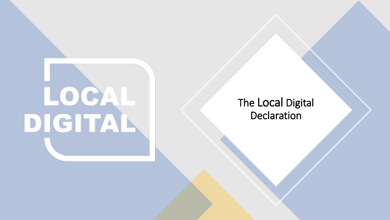

### The Local Digital Declaration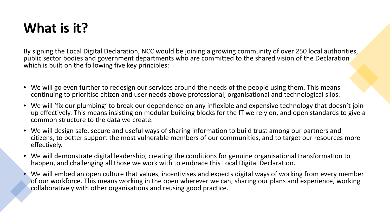# **What is it?**

By signing the Local Digital Declaration, NCC would be joining a growing community of over 250 local authorities, public sector bodies and government departments who are committed to the shared vision of the Declaration which is built on the following five key principles:

- We will go even further to redesign our services around the needs of the people using them. This means continuing to prioritise citizen and user needs above professional, organisational and technological silos.
- We will 'fix our plumbing' to break our dependence on any inflexible and expensive technology that doesn't join up effectively. This means insisting on modular building blocks for the IT we rely on, and open standards to give a common structure to the data we create.
- We will design safe, secure and useful ways of sharing information to build trust among our partners and citizens, to better support the most vulnerable members of our communities, and to target our resources more effectively.
- We will demonstrate digital leadership, creating the conditions for genuine organisational transformation to happen, and challenging all those we work with to embrace this Local Digital Declaration.
- We will embed an open culture that values, incentivises and expects digital ways of working from every member of our workforce. This means working in the open wherever we can, sharing our plans and experience, working collaboratively with other organisations and reusing good practice.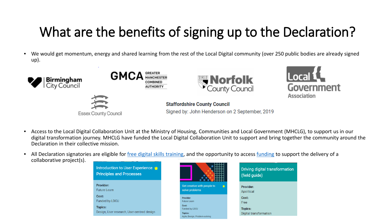# What are the benefits of signing up to the Declaration?

• We would get momentum, energy and shared learning from the rest of the Local Digital community (over 250 public bodies are already signed up).



- Access to the Local Digital Collaboration Unit at the Ministry of Housing, Communities and Local Government (MHCLG), to support us in our digital transformation journey. MHCLG have funded the Local Digital Collaboration Unit to support and bring together the community around the Declaration in their collective mission.
- All Declaration signatories are eligible for [free digital skills training,](https://localdigital.gov.uk/training-library/) and the opportunity to access [funding](https://localdigital.gov.uk/fund/) to support the delivery of a collaborative project(s).

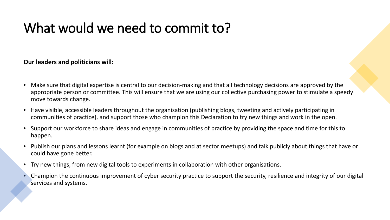### What would we need to commit to?

**Our leaders and politicians will:**

- Make sure that digital expertise is central to our decision-making and that all technology decisions are approved by the appropriate person or committee. This will ensure that we are using our collective purchasing power to stimulate a speedy move towards change.
- Have visible, accessible leaders throughout the organisation (publishing blogs, tweeting and actively participating in communities of practice), and support those who champion this Declaration to try new things and work in the open.
- Support our workforce to share ideas and engage in communities of practice by providing the space and time for this to happen.
- Publish our plans and lessons learnt (for example on blogs and at sector meetups) and talk publicly about things that have or could have gone better.
- Try new things, from new digital tools to experiments in collaboration with other organisations.
- Champion the continuous improvement of cyber security practice to support the security, resilience and integrity of our digital services and systems.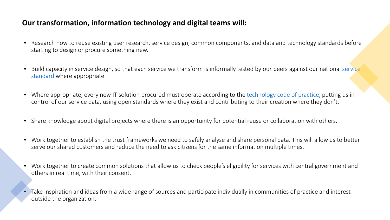### **Our transformation, information technology and digital teams will:**

- Research how to reuse existing user research, service design, common components, and data and technology standards before starting to design or procure something new.
- [Build capacity in service design, so that each service we transform is informally tested by our peers against our national](https://www.gov.uk/service-manual/service-standard) service standard where appropriate.
- Where appropriate, every new IT solution procured must operate according to the [technology code of practice](https://www.gov.uk/government/publications/technology-code-of-practice/technology-code-of-practice), putting us in control of our service data, using open standards where they exist and contributing to their creation where they don't.
- Share knowledge about digital projects where there is an opportunity for potential reuse or collaboration with others.
- Work together to establish the trust frameworks we need to safely analyse and share personal data. This will allow us to better serve our shared customers and reduce the need to ask citizens for the same information multiple times.
- Work together to create common solutions that allow us to check people's eligibility for services with central government and others in real time, with their consent.
- Take inspiration and ideas from a wide range of sources and participate individually in communities of practice and interest outside the organization.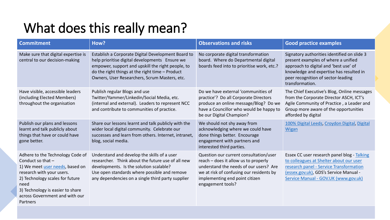# What does this really mean?

| <b>Commitment</b>                                                                                                                                                                                                                                    | How?                                                                                                                                                                                                                                                          | <b>Observations and risks</b>                                                                                                                                                                                               | <b>Good practice examples</b>                                                                                                                                                                                                   |
|------------------------------------------------------------------------------------------------------------------------------------------------------------------------------------------------------------------------------------------------------|---------------------------------------------------------------------------------------------------------------------------------------------------------------------------------------------------------------------------------------------------------------|-----------------------------------------------------------------------------------------------------------------------------------------------------------------------------------------------------------------------------|---------------------------------------------------------------------------------------------------------------------------------------------------------------------------------------------------------------------------------|
| Make sure that digital expertise is<br>central to our decision-making                                                                                                                                                                                | Establish a Corporate Digital Development Board to<br>help prioritise digital developments Ensure we<br>empower, support and upskill the right people, to<br>do the right things at the right time - Product<br>Owners, User Researchers, Scrum Masters, etc. | No corporate digital transformation<br>board. Where do Departmental digital<br>boards feed into to prioritise work, etc.?                                                                                                   | Signatory authorities identified on slide 3<br>present examples of where a unified<br>approach to digital and 'best use' of<br>knowledge and expertise has resulted in<br>peer recognition of sector-leading<br>transformation. |
| Have visible, accessible leaders<br>(including Elected Members)<br>throughout the organisation                                                                                                                                                       | Publish regular Blogs and use<br>Twitter/Yammer/Linkedin/Social Media, etc.<br>(internal and external). Leaders to represent NCC<br>and contribute to communities of practice.                                                                                | Do we have external 'communities of<br>practice'? Do all Corporate Directors<br>produce an online message/Blog? Do we<br>have a Councillor who would be happy to<br>be our Digital Champion?                                | The Chief Executive's Blog, Online messages<br>from the Corporate Director ASCH, ICT's<br>Agile Community of Practice, a Leader and<br>Group more aware of the opportunities<br>afforded by digital                             |
| Publish our plans and lessons<br>learnt and talk publicly about<br>things that have or could have<br>gone better.                                                                                                                                    | Share our lessons learnt and talk publicly with the<br>wider local digital community. Celebrate our<br>successes and learn from others. Internet, intranet,<br>blog, social media.                                                                            | We should not shy away from<br>acknowledging where we could have<br>done things better. Encourage<br>engagement with partners and<br>interested third parties.                                                              | 100% Digital Leeds, Croydon Digital, Digital<br>Wigan                                                                                                                                                                           |
| Adhere to the Technology Code of<br>Conduct so that $-$<br>1) We meet user needs, based on<br>research with your users.<br>2) Technology scales for future<br>need<br>3) Technology is easier to share<br>across Government and with our<br>Partners | Understand and develop the skills of a user<br>researcher. Think about the future use of all new<br>developments. Is the solution scalable?<br>Use open standards where possible and remove<br>any dependencies on a single third party supplier              | Question our current consultation/user<br>reach - does it allow us to properly<br>understand the needs of our users? Are<br>we at risk of confusing our residents by<br>implementing end point citizen<br>engagement tools? | Essex CC user research panel blog - Talking<br>to colleagues at Shelter about our user<br>research panel - Service Transformation<br>(essex.gov.uk), GDS's Service Manual -<br>Service Manual - GOV.UK (www.gov.uk)             |